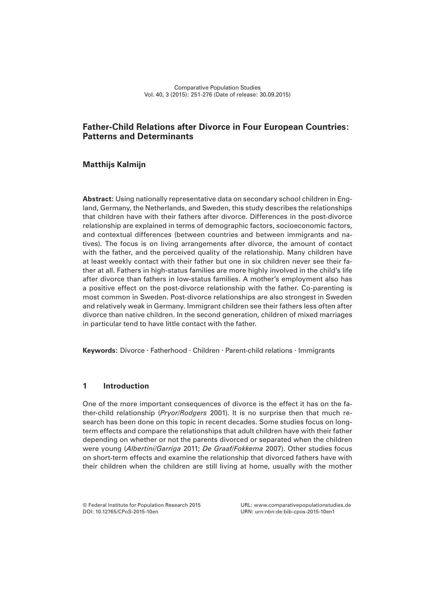# **Father-Child Relations after Divorce in Four European Countries: Patterns and Determinants**

# **Matthijs Kalmijn**

**Abstract:** Using nationally representative data on secondary school children in England, Germany, the Netherlands, and Sweden, this study describes the relationships that children have with their fathers after divorce. Differences in the post-divorce relationship are explained in terms of demographic factors, socioeconomic factors, and contextual differences (between countries and between immigrants and natives). The focus is on living arrangements after divorce, the amount of contact with the father, and the perceived quality of the relationship. Many children have at least weekly contact with their father but one in six children never see their father at all. Fathers in high-status families are more highly involved in the child's life after divorce than fathers in low-status families. A mother's employment also has a positive effect on the post-divorce relationship with the father. Co-parenting is most common in Sweden. Post-divorce relationships are also strongest in Sweden and relatively weak in Germany. Immigrant children see their fathers less often after divorce than native children. In the second generation, children of mixed marriages in particular tend to have little contact with the father.

**Keywords:** Divorce · Fatherhood · Children · Parent-child relations · Immigrants

# **1 Introduction**

One of the more important consequences of divorce is the effect it has on the father-child relationship (*Pryor/Rodgers* 2001). It is no surprise then that much research has been done on this topic in recent decades. Some studies focus on longterm effects and compare the relationships that adult children have with their father depending on whether or not the parents divorced or separated when the children were young (*Albertini/Garriga* 2011; *De Graaf/Fokkema* 2007). Other studies focus on short-term effects and examine the relationship that divorced fathers have with their children when the children are still living at home, usually with the mother

DOI: 10.12765/CPoS-2015-10en URN: urn:nbn:de:bib-cpos-2015-10en1

© Federal Institute for Population Research 2015 URL: www.comparativepopulationstudies.de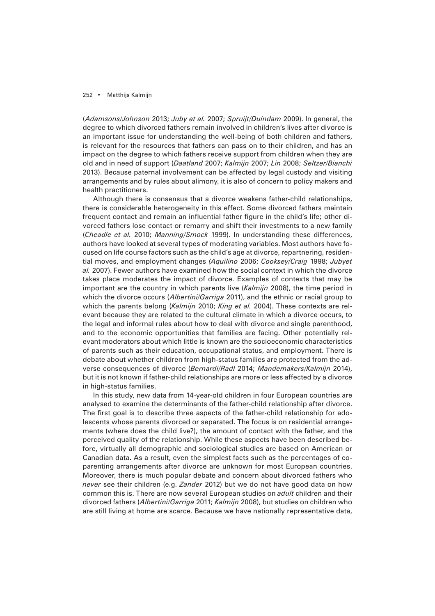(*Adamsons/Johnson* 2013; *Juby et al.* 2007; *Spruijt/Duindam* 2009). In general, the degree to which divorced fathers remain involved in children's lives after divorce is an important issue for understanding the well-being of both children and fathers, is relevant for the resources that fathers can pass on to their children, and has an impact on the degree to which fathers receive support from children when they are old and in need of support (*Daatland* 2007; *Kalmijn* 2007; *Lin* 2008; *Seltzer/Bianchi*  2013). Because paternal involvement can be affected by legal custody and visiting arrangements and by rules about alimony, it is also of concern to policy makers and health practitioners.

Although there is consensus that a divorce weakens father-child relationships, there is considerable heterogeneity in this effect. Some divorced fathers maintain frequent contact and remain an influential father figure in the child's life; other divorced fathers lose contact or remarry and shift their investments to a new family (*Cheadle et al.* 2010; *Manning/Smock* 1999). In understanding these differences, authors have looked at several types of moderating variables. Most authors have focused on life course factors such as the child's age at divorce, repartnering, residential moves, and employment changes *(Aquilino* 2006; *Cooksey/Craig* 1998; *Jubyet al.* 2007). Fewer authors have examined how the social context in which the divorce takes place moderates the impact of divorce. Examples of contexts that may be important are the country in which parents live (*Kalmijn* 2008), the time period in which the divorce occurs (*Albertini/Garriga* 2011), and the ethnic or racial group to which the parents belong (*Kalmijn* 2010; *King et al.* 2004). These contexts are relevant because they are related to the cultural climate in which a divorce occurs, to the legal and informal rules about how to deal with divorce and single parenthood, and to the economic opportunities that families are facing. Other potentially relevant moderators about which little is known are the socioeconomic characteristics of parents such as their education, occupational status, and employment. There is debate about whether children from high-status families are protected from the adverse consequences of divorce (*Bernardi/Radl* 2014; *Mandemakers/Kalmijn* 2014), but it is not known if father-child relationships are more or less affected by a divorce in high-status families.

In this study, new data from 14-year-old children in four European countries are analysed to examine the determinants of the father-child relationship after divorce. The first goal is to describe three aspects of the father-child relationship for adolescents whose parents divorced or separated. The focus is on residential arrangements (where does the child live?), the amount of contact with the father, and the perceived quality of the relationship. While these aspects have been described before, virtually all demographic and sociological studies are based on American or Canadian data. As a result, even the simplest facts such as the percentages of coparenting arrangements after divorce are unknown for most European countries. Moreover, there is much popular debate and concern about divorced fathers who *never* see their children (e.g. *Zander* 2012) but we do not have good data on how common this is. There are now several European studies on *adult* children and their divorced fathers (*Albertini/Garriga* 2011; *Kalmijn* 2008), but studies on children who are still living at home are scarce. Because we have nationally representative data,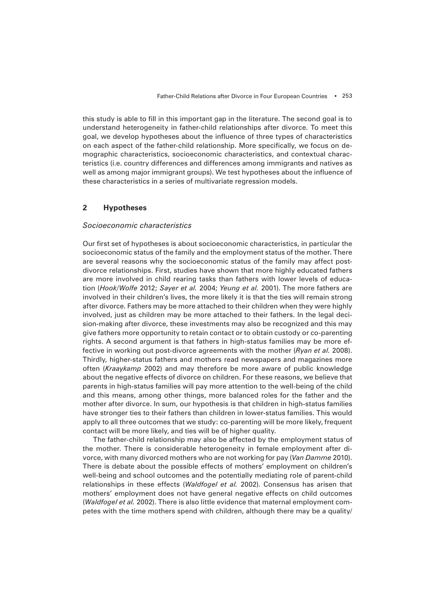this study is able to fill in this important gap in the literature. The second goal is to understand heterogeneity in father-child relationships after divorce. To meet this goal, we develop hypotheses about the influence of three types of characteristics on each aspect of the father-child relationship. More specifically, we focus on demographic characteristics, socioeconomic characteristics, and contextual characteristics (i.e. country differences and differences among immigrants and natives as well as among major immigrant groups). We test hypotheses about the influence of these characteristics in a series of multivariate regression models.

# **2 Hypotheses**

## *Socioeconomic characteristics*

Our first set of hypotheses is about socioeconomic characteristics, in particular the socioeconomic status of the family and the employment status of the mother. There are several reasons why the socioeconomic status of the family may affect postdivorce relationships. First, studies have shown that more highly educated fathers are more involved in child rearing tasks than fathers with lower levels of education (*Hook/Wolfe* 2012; *Sayer et al.* 2004; *Yeung et al.* 2001). The more fathers are involved in their children's lives, the more likely it is that the ties will remain strong after divorce. Fathers may be more attached to their children when they were highly involved, just as children may be more attached to their fathers. In the legal decision-making after divorce, these investments may also be recognized and this may give fathers more opportunity to retain contact or to obtain custody or co-parenting rights. A second argument is that fathers in high-status families may be more effective in working out post-divorce agreements with the mother (*Ryan et al.* 2008). Thirdly, higher-status fathers and mothers read newspapers and magazines more often (*Kraaykamp* 2002) and may therefore be more aware of public knowledge about the negative effects of divorce on children. For these reasons, we believe that parents in high-status families will pay more attention to the well-being of the child and this means, among other things, more balanced roles for the father and the mother after divorce. In sum, our hypothesis is that children in high-status families have stronger ties to their fathers than children in lower-status families. This would apply to all three outcomes that we study: co-parenting will be more likely, frequent contact will be more likely, and ties will be of higher quality.

The father-child relationship may also be affected by the employment status of the mother. There is considerable heterogeneity in female employment after divorce, with many divorced mothers who are not working for pay (*Van Damme* 2010). There is debate about the possible effects of mothers' employment on children's well-being and school outcomes and the potentially mediating role of parent-child relationships in these effects (*Waldfogel et al.* 2002). Consensus has arisen that mothers' employment does not have general negative effects on child outcomes (*Waldfogel et al.* 2002). There is also little evidence that maternal employment competes with the time mothers spend with children, although there may be a quality/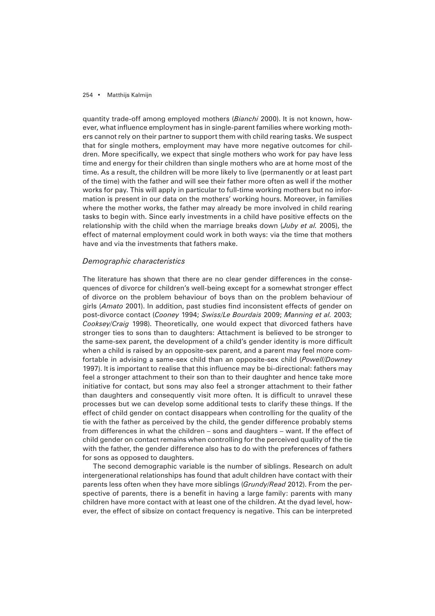quantity trade-off among employed mothers (*Bianchi* 2000). It is not known, however, what influence employment has in single-parent families where working mothers cannot rely on their partner to support them with child rearing tasks. We suspect that for single mothers, employment may have more negative outcomes for children. More specifically, we expect that single mothers who work for pay have less time and energy for their children than single mothers who are at home most of the time. As a result, the children will be more likely to live (permanently or at least part of the time) with the father and will see their father more often as well if the mother works for pay. This will apply in particular to full-time working mothers but no information is present in our data on the mothers' working hours. Moreover, in families where the mother works, the father may already be more involved in child rearing tasks to begin with. Since early investments in a child have positive effects on the relationship with the child when the marriage breaks down (*Juby et al.* 2005), the effect of maternal employment could work in both ways: via the time that mothers have and via the investments that fathers make.

# *Demographic characteristics*

The literature has shown that there are no clear gender differences in the consequences of divorce for children's well-being except for a somewhat stronger effect of divorce on the problem behaviour of boys than on the problem behaviour of girls (Amato 2001). In addition, past studies find inconsistent effects of gender on post-divorce contact (*Cooney* 1994; *Swiss/Le Bourdais* 2009; *Manning et al.* 2003; *Cooksey/Craig* 1998). Theoretically, one would expect that divorced fathers have stronger ties to sons than to daughters: Attachment is believed to be stronger to the same-sex parent, the development of a child's gender identity is more difficult when a child is raised by an opposite-sex parent, and a parent may feel more comfortable in advising a same-sex child than an opposite-sex child (*Powell/Downey* 1997). It is important to realise that this influence may be bi-directional: fathers may feel a stronger attachment to their son than to their daughter and hence take more initiative for contact, but sons may also feel a stronger attachment to their father than daughters and consequently visit more often. It is difficult to unravel these processes but we can develop some additional tests to clarify these things. If the effect of child gender on contact disappears when controlling for the quality of the tie with the father as perceived by the child, the gender difference probably stems from differences in what the children – sons and daughters – want. If the effect of child gender on contact remains when controlling for the perceived quality of the tie with the father, the gender difference also has to do with the preferences of fathers for sons as opposed to daughters.

The second demographic variable is the number of siblings. Research on adult intergenerational relationships has found that adult children have contact with their parents less often when they have more siblings (*Grundy/Read* 2012). From the perspective of parents, there is a benefit in having a large family: parents with many children have more contact with at least one of the children. At the dyad level, however, the effect of sibsize on contact frequency is negative. This can be interpreted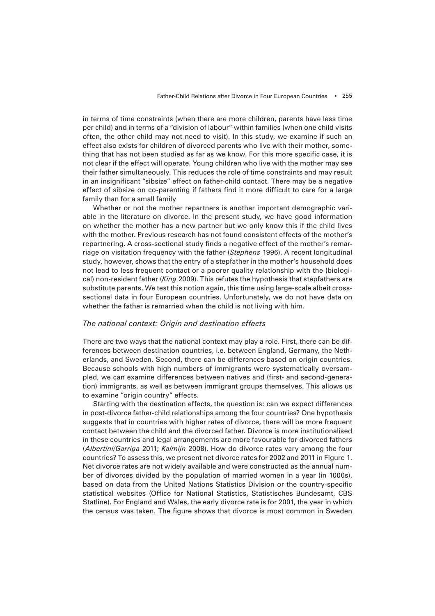in terms of time constraints (when there are more children, parents have less time per child) and in terms of a "division of labour" within families (when one child visits often, the other child may not need to visit). In this study, we examine if such an effect also exists for children of divorced parents who live with their mother, something that has not been studied as far as we know. For this more specific case, it is not clear if the effect will operate. Young children who live with the mother may see their father simultaneously. This reduces the role of time constraints and may result in an insignificant "sibsize" effect on father-child contact. There may be a negative effect of sibsize on co-parenting if fathers find it more difficult to care for a large family than for a small family

Whether or not the mother repartners is another important demographic variable in the literature on divorce. In the present study, we have good information on whether the mother has a new partner but we only know this if the child lives with the mother. Previous research has not found consistent effects of the mother's repartnering. A cross-sectional study finds a negative effect of the mother's remarriage on visitation frequency with the father (*Stephens* 1996). A recent longitudinal study, however, shows that the entry of a stepfather in the mother's household does not lead to less frequent contact or a poorer quality relationship with the (biological) non-resident father (*King* 2009). This refutes the hypothesis that stepfathers are substitute parents. We test this notion again, this time using large-scale albeit crosssectional data in four European countries. Unfortunately, we do not have data on whether the father is remarried when the child is not living with him.

#### *The national context: Origin and destination effects*

There are two ways that the national context may play a role. First, there can be differences between destination countries, i.e. between England, Germany, the Netherlands, and Sweden. Second, there can be differences based on origin countries. Because schools with high numbers of immigrants were systematically oversampled, we can examine differences between natives and (first- and second-generation) immigrants, as well as between immigrant groups themselves. This allows us to examine "origin country" effects.

Starting with the destination effects, the question is: can we expect differences in post-divorce father-child relationships among the four countries? One hypothesis suggests that in countries with higher rates of divorce, there will be more frequent contact between the child and the divorced father. Divorce is more institutionalised in these countries and legal arrangements are more favourable for divorced fathers (*Albertini/Garriga* 2011; *Kalmijn* 2008). How do divorce rates vary among the four countries? To assess this, we present net divorce rates for 2002 and 2011 in Figure 1. Net divorce rates are not widely available and were constructed as the annual number of divorces divided by the population of married women in a year (in 1000s), based on data from the United Nations Statistics Division or the country-specific statistical websites (Office for National Statistics, Statistisches Bundesamt, CBS Statline). For England and Wales, the early divorce rate is for 2001, the year in which the census was taken. The figure shows that divorce is most common in Sweden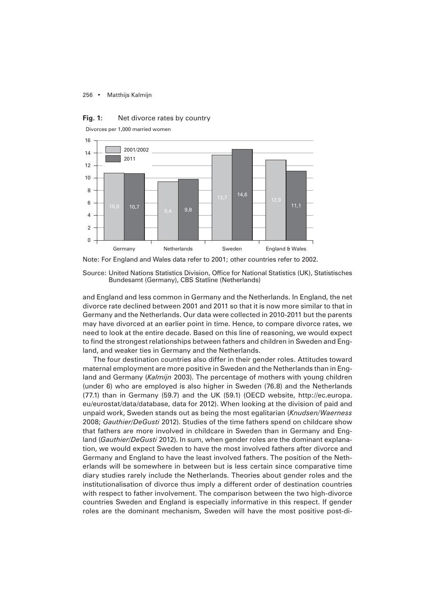



Divorces per 1,000 married women

Note: For England and Wales data refer to 2001; other countries refer to 2002.

Source: United Nations Statistics Division, Office for National Statistics (UK), Statistisches Bundesamt (Germany), CBS Statline (Netherlands)

and England and less common in Germany and the Netherlands. In England, the net divorce rate declined between 2001 and 2011 so that it is now more similar to that in Germany and the Netherlands. Our data were collected in 2010-2011 but the parents may have divorced at an earlier point in time. Hence, to compare divorce rates, we need to look at the entire decade. Based on this line of reasoning, we would expect to find the strongest relationships between fathers and children in Sweden and England, and weaker ties in Germany and the Netherlands.

The four destination countries also differ in their gender roles. Attitudes toward maternal employment are more positive in Sweden and the Netherlands than in England and Germany (*Kalmijn* 2003). The percentage of mothers with young children (under 6) who are employed is also higher in Sweden (76.8) and the Netherlands (77.1) than in Germany (59.7) and the UK (59.1) (OECD website, http://ec.europa. eu/eurostat/data/database, data for 2012). When looking at the division of paid and unpaid work, Sweden stands out as being the most egalitarian (*Knudsen/Waerness* 2008; *Gauthier/DeGusti* 2012). Studies of the time fathers spend on childcare show that fathers are more involved in childcare in Sweden than in Germany and England (*Gauthier/DeGusti* 2012). In sum, when gender roles are the dominant explanation, we would expect Sweden to have the most involved fathers after divorce and Germany and England to have the least involved fathers. The position of the Netherlands will be somewhere in between but is less certain since comparative time diary studies rarely include the Netherlands. Theories about gender roles and the institutionalisation of divorce thus imply a different order of destination countries with respect to father involvement. The comparison between the two high-divorce countries Sweden and England is especially informative in this respect. If gender roles are the dominant mechanism, Sweden will have the most positive post-di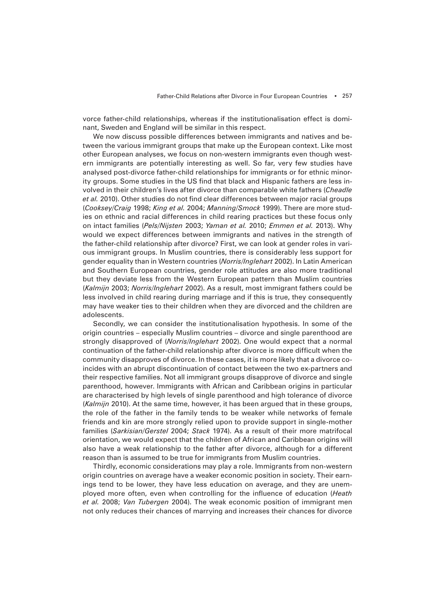vorce father-child relationships, whereas if the institutionalisation effect is dominant, Sweden and England will be similar in this respect.

We now discuss possible differences between immigrants and natives and between the various immigrant groups that make up the European context. Like most other European analyses, we focus on non-western immigrants even though western immigrants are potentially interesting as well. So far, very few studies have analysed post-divorce father-child relationships for immigrants or for ethnic minority groups. Some studies in the US find that black and Hispanic fathers are less involved in their children's lives after divorce than comparable white fathers (*Cheadle*  et al. 2010). Other studies do not find clear differences between major racial groups (*Cooksey/Craig* 1998; *King et al.* 2004; *Manning/Smock* 1999). There are more studies on ethnic and racial differences in child rearing practices but these focus only on intact families (*Pels/Nijsten* 2003; *Yaman et al.* 2010; *Emmen et al.* 2013). Why would we expect differences between immigrants and natives in the strength of the father-child relationship after divorce? First, we can look at gender roles in various immigrant groups. In Muslim countries, there is considerably less support for gender equality than in Western countries (*Norris/Inglehart* 2002). In Latin American and Southern European countries, gender role attitudes are also more traditional but they deviate less from the Western European pattern than Muslim countries (*Kalmijn* 2003; *Norris/Inglehart* 2002). As a result, most immigrant fathers could be less involved in child rearing during marriage and if this is true, they consequently may have weaker ties to their children when they are divorced and the children are adolescents.

Secondly, we can consider the institutionalisation hypothesis. In some of the origin countries – especially Muslim countries – divorce and single parenthood are strongly disapproved of (*Norris/Inglehart* 2002). One would expect that a normal continuation of the father-child relationship after divorce is more difficult when the community disapproves of divorce. In these cases, it is more likely that a divorce coincides with an abrupt discontinuation of contact between the two ex-partners and their respective families. Not all immigrant groups disapprove of divorce and single parenthood, however. Immigrants with African and Caribbean origins in particular are characterised by high levels of single parenthood and high tolerance of divorce (*Kalmijn* 2010). At the same time, however, it has been argued that in these groups, the role of the father in the family tends to be weaker while networks of female friends and kin are more strongly relied upon to provide support in single-mother families (*Sarkisian/Gerstel* 2004; *Stack* 1974). As a result of their more matrifocal orientation, we would expect that the children of African and Caribbean origins will also have a weak relationship to the father after divorce, although for a different reason than is assumed to be true for immigrants from Muslim countries.

Thirdly, economic considerations may play a role. Immigrants from non-western origin countries on average have a weaker economic position in society. Their earnings tend to be lower, they have less education on average, and they are unemployed more often, even when controlling for the influence of education (*Heath et al.* 2008; *Van Tubergen* 2004). The weak economic position of immigrant men not only reduces their chances of marrying and increases their chances for divorce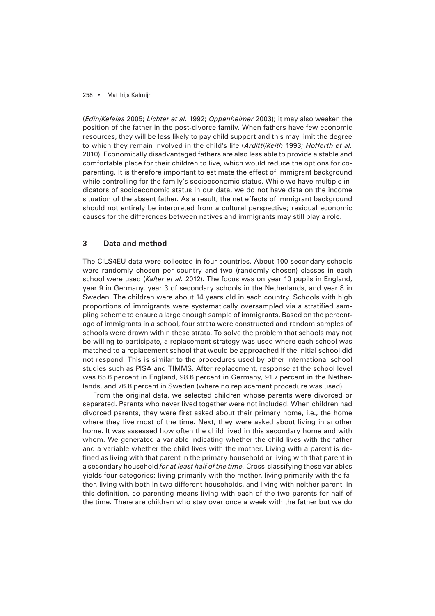(*Edin/Kefalas* 2005; *Lichter et al.* 1992; *Oppenheimer* 2003); it may also weaken the position of the father in the post-divorce family. When fathers have few economic resources, they will be less likely to pay child support and this may limit the degree to which they remain involved in the child's life (*Arditti/Keith* 1993; *Hofferth et al.* 2010). Economically disadvantaged fathers are also less able to provide a stable and comfortable place for their children to live, which would reduce the options for coparenting. It is therefore important to estimate the effect of immigrant background while controlling for the family's socioeconomic status. While we have multiple indicators of socioeconomic status in our data, we do not have data on the income situation of the absent father. As a result, the net effects of immigrant background should not entirely be interpreted from a cultural perspective; residual economic causes for the differences between natives and immigrants may still play a role.

# **3 Data and method**

The CILS4EU data were collected in four countries. About 100 secondary schools were randomly chosen per country and two (randomly chosen) classes in each school were used (*Kalter et al.* 2012). The focus was on year 10 pupils in England, year 9 in Germany, year 3 of secondary schools in the Netherlands, and year 8 in Sweden. The children were about 14 years old in each country. Schools with high proportions of immigrants were systematically oversampled via a stratified sampling scheme to ensure a large enough sample of immigrants. Based on the percentage of immigrants in a school, four strata were constructed and random samples of schools were drawn within these strata. To solve the problem that schools may not be willing to participate, a replacement strategy was used where each school was matched to a replacement school that would be approached if the initial school did not respond. This is similar to the procedures used by other international school studies such as PISA and TIMMS. After replacement, response at the school level was 65.6 percent in England, 98.6 percent in Germany, 91.7 percent in the Netherlands, and 76.8 percent in Sweden (where no replacement procedure was used).

From the original data, we selected children whose parents were divorced or separated. Parents who never lived together were not included. When children had divorced parents, they were first asked about their primary home, i.e., the home where they live most of the time. Next, they were asked about living in another home. It was assessed how often the child lived in this secondary home and with whom. We generated a variable indicating whether the child lives with the father and a variable whether the child lives with the mother. Living with a parent is defined as living with that parent in the primary household or living with that parent in a secondary household *for at least half of the time.* Cross-classifying these variables yields four categories: living primarily with the mother, living primarily with the father, living with both in two different households, and living with neither parent. In this definition, co-parenting means living with each of the two parents for half of the time. There are children who stay over once a week with the father but we do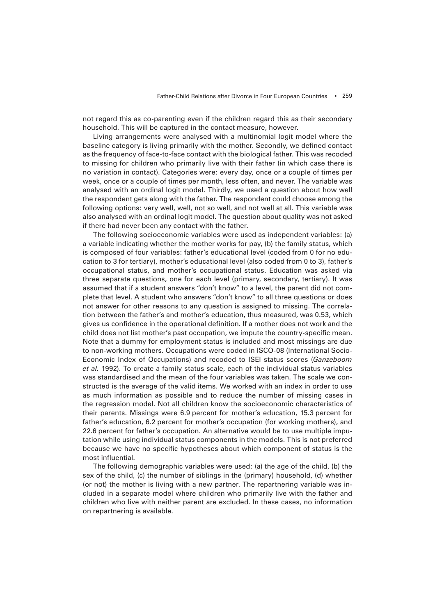not regard this as co-parenting even if the children regard this as their secondary household. This will be captured in the contact measure, however.

Living arrangements were analysed with a multinomial logit model where the baseline category is living primarily with the mother. Secondly, we defined contact as the frequency of face-to-face contact with the biological father. This was recoded to missing for children who primarily live with their father (in which case there is no variation in contact). Categories were: every day, once or a couple of times per week, once or a couple of times per month, less often, and never. The variable was analysed with an ordinal logit model. Thirdly, we used a question about how well the respondent gets along with the father. The respondent could choose among the following options: very well, well, not so well, and not well at all. This variable was also analysed with an ordinal logit model. The question about quality was not asked if there had never been any contact with the father.

The following socioeconomic variables were used as independent variables: (a) a variable indicating whether the mother works for pay, (b) the family status, which is composed of four variables: father's educational level (coded from 0 for no education to 3 for tertiary), mother's educational level (also coded from 0 to 3), father's occupational status, and mother's occupational status. Education was asked via three separate questions, one for each level (primary, secondary, tertiary). It was assumed that if a student answers "don't know" to a level, the parent did not complete that level. A student who answers "don't know" to all three questions or does not answer for other reasons to any question is assigned to missing. The correlation between the father's and mother's education, thus measured, was 0.53, which gives us confidence in the operational definition. If a mother does not work and the child does not list mother's past occupation, we impute the country-specific mean. Note that a dummy for employment status is included and most missings are due to non-working mothers. Occupations were coded in ISCO-08 (International Socio-Economic Index of Occupations) and recoded to ISEI status scores (*Ganzeboom et al.* 1992). To create a family status scale, each of the individual status variables was standardised and the mean of the four variables was taken. The scale we constructed is the average of the valid items. We worked with an index in order to use as much information as possible and to reduce the number of missing cases in the regression model. Not all children know the socioeconomic characteristics of their parents. Missings were 6.9 percent for mother's education, 15.3 percent for father's education, 6.2 percent for mother's occupation (for working mothers), and 22.6 percent for father's occupation. An alternative would be to use multiple imputation while using individual status components in the models. This is not preferred because we have no specific hypotheses about which component of status is the most influential.

The following demographic variables were used: (a) the age of the child, (b) the sex of the child, (c) the number of siblings in the (primary) household, (d) whether (or not) the mother is living with a new partner. The repartnering variable was included in a separate model where children who primarily live with the father and children who live with neither parent are excluded. In these cases, no information on repartnering is available.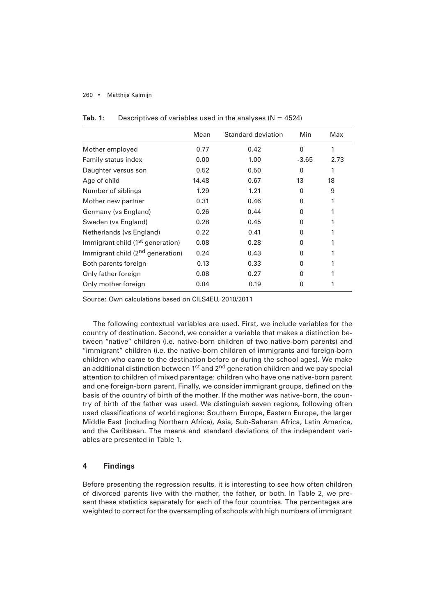|                                              | Mean  | Standard deviation | Min          | Max  |
|----------------------------------------------|-------|--------------------|--------------|------|
| Mother employed                              | 0.77  | 0.42               | $\Omega$     |      |
| Family status index                          | 0.00  | 1.00               | $-3.65$      | 2.73 |
| Daughter versus son                          | 0.52  | 0.50               | $\Omega$     |      |
| Age of child                                 | 14.48 | 0.67               | 13           | 18   |
| Number of siblings                           | 1.29  | 1.21               | $\Omega$     | 9    |
| Mother new partner                           | 0.31  | 0.46               | $\Omega$     |      |
| Germany (vs England)                         | 0.26  | 0.44               | $\Omega$     |      |
| Sweden (vs England)                          | 0.28  | 0.45               | $\Omega$     |      |
| Netherlands (vs England)                     | 0.22  | 0.41               | $\Omega$     |      |
| Immigrant child (1 <sup>st</sup> generation) | 0.08  | 0.28               | <sup>0</sup> |      |
| Immigrant child (2 <sup>nd</sup> generation) | 0.24  | 0.43               | $\Omega$     |      |
| Both parents foreign                         | 0.13  | 0.33               | $\Omega$     |      |
| Only father foreign                          | 0.08  | 0.27               | <sup>0</sup> |      |
| Only mother foreign                          | 0.04  | 0.19               | $\Omega$     |      |

# **Tab. 1:** Descriptives of variables used in the analyses ( $N = 4524$ )

Source: Own calculations based on CILS4EU, 2010/2011

The following contextual variables are used. First, we include variables for the country of destination. Second, we consider a variable that makes a distinction between "native" children (i.e. native-born children of two native-born parents) and "immigrant" children (i.e. the native-born children of immigrants and foreign-born children who came to the destination before or during the school ages). We make an additional distinction between 1<sup>st</sup> and 2<sup>nd</sup> generation children and we pay special attention to children of mixed parentage: children who have one native-born parent and one foreign-born parent. Finally, we consider immigrant groups, defined on the basis of the country of birth of the mother. If the mother was native-born, the country of birth of the father was used. We distinguish seven regions, following often used classifications of world regions: Southern Europe, Eastern Europe, the larger Middle East (including Northern Africa), Asia, Sub-Saharan Africa, Latin America, and the Caribbean. The means and standard deviations of the independent variables are presented in Table 1.

# **4 Findings**

Before presenting the regression results, it is interesting to see how often children of divorced parents live with the mother, the father, or both. In Table 2, we present these statistics separately for each of the four countries. The percentages are weighted to correct for the oversampling of schools with high numbers of immigrant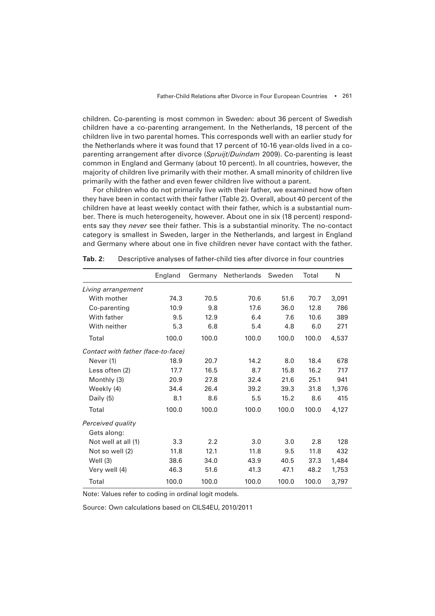children. Co-parenting is most common in Sweden: about 36 percent of Swedish children have a co-parenting arrangement. In the Netherlands, 18 percent of the children live in two parental homes. This corresponds well with an earlier study for the Netherlands where it was found that 17 percent of 10-16 year-olds lived in a coparenting arrangement after divorce (*Spruijt/Duindam* 2009). Co-parenting is least common in England and Germany (about 10 percent). In all countries, however, the majority of children live primarily with their mother. A small minority of children live primarily with the father and even fewer children live without a parent.

For children who do not primarily live with their father, we examined how often they have been in contact with their father (Table 2). Overall, about 40 percent of the children have at least weekly contact with their father, which is a substantial number. There is much heterogeneity, however. About one in six (18 percent) respondents say they *never* see their father. This is a substantial minority. The no-contact category is smallest in Sweden, larger in the Netherlands, and largest in England and Germany where about one in five children never have contact with the father.

|                                    | England | Germany | Netherlands | Sweden | Total | N     |
|------------------------------------|---------|---------|-------------|--------|-------|-------|
| Living arrangement                 |         |         |             |        |       |       |
| With mother                        | 74.3    | 70.5    | 70.6        | 51.6   | 70.7  | 3,091 |
| Co-parenting                       | 10.9    | 9.8     | 17.6        | 36.0   | 12.8  | 786   |
| With father                        | 9.5     | 12.9    | 6.4         | 7.6    | 10.6  | 389   |
| With neither                       | 5.3     | 6.8     | 5.4         | 4.8    | 6.0   | 271   |
| Total                              | 100.0   | 100.0   | 100.0       | 100.0  | 100.0 | 4,537 |
| Contact with father (face-to-face) |         |         |             |        |       |       |
| Never (1)                          | 18.9    | 20.7    | 14.2        | 8.0    | 18.4  | 678   |
| Less often (2)                     | 17.7    | 16.5    | 8.7         | 15.8   | 16.2  | 717   |
| Monthly (3)                        | 20.9    | 27.8    | 32.4        | 21.6   | 25.1  | 941   |
| Weekly (4)                         | 34.4    | 26.4    | 39.2        | 39.3   | 31.8  | 1,376 |
| Daily (5)                          | 8.1     | 8.6     | 5.5         | 15.2   | 8.6   | 415   |
| Total                              | 100.0   | 100.0   | 100.0       | 100.0  | 100.0 | 4,127 |
| Perceived quality                  |         |         |             |        |       |       |
| Gets along:                        |         |         |             |        |       |       |
| Not well at all (1)                | 3,3     | 2.2     | 3.0         | 3.0    | 2.8   | 128   |
| Not so well (2)                    | 11.8    | 12.1    | 11.8        | 9.5    | 11.8  | 432   |
| Well $(3)$                         | 38.6    | 34.0    | 43.9        | 40.5   | 37.3  | 1,484 |
| Very well (4)                      | 46.3    | 51.6    | 41.3        | 47.1   | 48.2  | 1,753 |
| Total                              | 100.0   | 100.0   | 100.0       | 100.0  | 100.0 | 3,797 |

**Tab. 2:** Descriptive analyses of father-child ties after divorce in four countries

Note: Values refer to coding in ordinal logit models.

Source: Own calculations based on CILS4EU, 2010/2011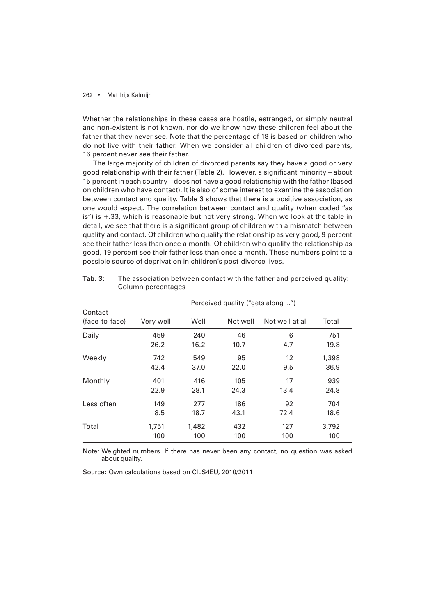Whether the relationships in these cases are hostile, estranged, or simply neutral and non-existent is not known, nor do we know how these children feel about the father that they never see. Note that the percentage of 18 is based on children who do not live with their father. When we consider all children of divorced parents, 16 percent never see their father.

The large majority of children of divorced parents say they have a good or very good relationship with their father (Table 2). However, a significant minority – about 15 percent in each country – does not have a good relationship with the father (based on children who have contact). It is also of some interest to examine the association between contact and quality. Table 3 shows that there is a positive association, as one would expect. The correlation between contact and quality (when coded "as is") is +.33, which is reasonable but not very strong. When we look at the table in detail, we see that there is a significant group of children with a mismatch between quality and contact. Of children who qualify the relationship as very good, 9 percent see their father less than once a month. Of children who qualify the relationship as good, 19 percent see their father less than once a month. These numbers point to a possible source of deprivation in children's post-divorce lives.

|                           |           |       | Perceived quality ("gets along ") |                 |       |
|---------------------------|-----------|-------|-----------------------------------|-----------------|-------|
| Contact<br>(face-to-face) | Very well | Well  | Not well                          | Not well at all | Total |
| Daily                     | 459       | 240   | 46                                | 6               | 751   |
|                           | 26.2      | 16.2  | 10.7                              | 4.7             | 19.8  |
| Weekly                    | 742       | 549   | 95                                | 12              | 1,398 |
|                           | 42.4      | 37.0  | 22.0                              | 9.5             | 36.9  |
| Monthly                   | 401       | 416   | 105                               | 17              | 939   |
|                           | 22.9      | 28.1  | 24.3                              | 13.4            | 24.8  |
| Less often                | 149       | 277   | 186                               | 92              | 704   |
|                           | 8.5       | 18.7  | 43.1                              | 72.4            | 18.6  |
| Total                     | 1,751     | 1,482 | 432                               | 127             | 3,792 |
|                           | 100       | 100   | 100                               | 100             | 100   |

**Tab. 3:** The association between contact with the father and perceived quality: Column percentages

Note: Weighted numbers. If there has never been any contact, no question was asked about quality.

Source: Own calculations based on CILS4EU, 2010/2011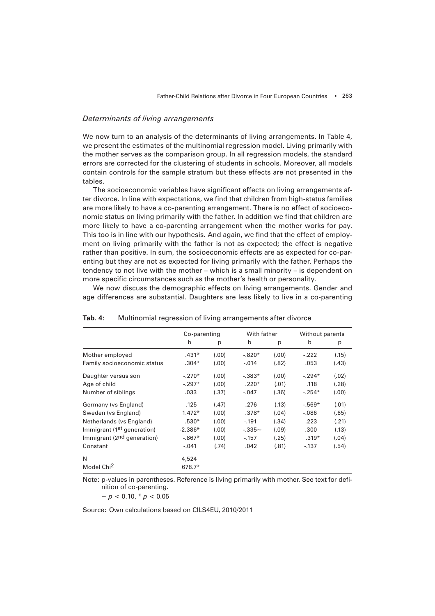# *Determinants of living arrangements*

We now turn to an analysis of the determinants of living arrangements. In Table 4, we present the estimates of the multinomial regression model. Living primarily with the mother serves as the comparison group. In all regression models, the standard errors are corrected for the clustering of students in schools. Moreover, all models contain controls for the sample stratum but these effects are not presented in the tables.

The socioeconomic variables have significant effects on living arrangements after divorce. In line with expectations, we find that children from high-status families are more likely to have a co-parenting arrangement. There is no effect of socioeconomic status on living primarily with the father. In addition we find that children are more likely to have a co-parenting arrangement when the mother works for pay. This too is in line with our hypothesis. And again, we find that the effect of employment on living primarily with the father is not as expected; the effect is negative rather than positive. In sum, the socioeconomic effects are as expected for co-parenting but they are not as expected for living primarily with the father. Perhaps the tendency to not live with the mother – which is a small minority – is dependent on more specific circumstances such as the mother's health or personality.

We now discuss the demographic effects on living arrangements. Gender and age differences are substantial. Daughters are less likely to live in a co-parenting

|                                        | Co-parenting |       | With father |       | Without parents |        |
|----------------------------------------|--------------|-------|-------------|-------|-----------------|--------|
|                                        | b            | p     | $\mathsf b$ | p     | $\mathsf{b}$    | p      |
| Mother employed                        | $.431*$      | (.00) | $-.820*$    | (.00) | $-.222$         | (.15)  |
| Family socioeconomic status            | $.304*$      | (.00) | $-.014$     | (.82) | .053            | (.43)  |
| Daughter versus son                    | $-.270*$     | (.00) | $-.383*$    | (.00) | $-.294*$        | (.02)  |
| Age of child                           | $-.297*$     | (.00) | $.220*$     | (.01) | .118            | (.28)  |
| Number of siblings                     | .033         | (.37) | $-.047$     | (.36) | $-.254*$        | (0.01) |
| Germany (vs England)                   | .125         | (.47) | .276        | (.13) | $-0.569*$       | (.01)  |
| Sweden (vs England)                    | $1.472*$     | (.00) | $.378*$     | (.04) | $-0.086$        | (.65)  |
| Netherlands (vs England)               | $.530*$      | (.00) | $-.191$     | (.34) | .223            | (.21)  |
| Immigrant (1 <sup>st</sup> generation) | $-2.386*$    | (.00) | $-.335-$    | (.09) | .300            | (.13)  |
| Immigrant (2 <sup>nd</sup> generation) | $-.867*$     | (.00) | $-0.157$    | (.25) | $.319*$         | (.04)  |
| Constant                               | $-.041$      | (.74) | .042        | (.81) | $-137$          | (.54)  |
| N                                      | 4,524        |       |             |       |                 |        |
| Model Chi <sup>2</sup>                 | 678.7*       |       |             |       |                 |        |

**Tab. 4:** Multinomial regression of living arrangements after divorce

Note: p-values in parentheses. Reference is living primarily with mother. See text for definition of co-parenting.

 $~p$  < 0.10,  $\frac{*}{p}$  < 0.05

Source: Own calculations based on CILS4EU, 2010/2011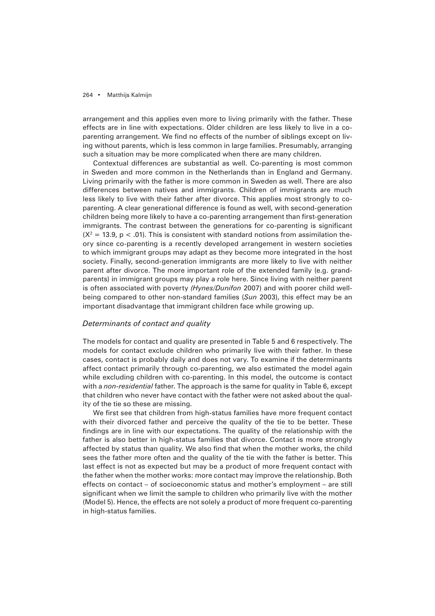arrangement and this applies even more to living primarily with the father. These effects are in line with expectations. Older children are less likely to live in a coparenting arrangement. We find no effects of the number of siblings except on living without parents, which is less common in large families. Presumably, arranging such a situation may be more complicated when there are many children.

Contextual differences are substantial as well. Co-parenting is most common in Sweden and more common in the Netherlands than in England and Germany. Living primarily with the father is more common in Sweden as well. There are also differences between natives and immigrants. Children of immigrants are much less likely to live with their father after divorce. This applies most strongly to coparenting. A clear generational difference is found as well, with second-generation children being more likely to have a co-parenting arrangement than first-generation immigrants. The contrast between the generations for co-parenting is significant (X<sup>2</sup> = 13.9, p < .01). This is consistent with standard notions from assimilation theory since co-parenting is a recently developed arrangement in western societies to which immigrant groups may adapt as they become more integrated in the host society. Finally, second-generation immigrants are more likely to live with neither parent after divorce. The more important role of the extended family (e.g. grandparents) in immigrant groups may play a role here. Since living with neither parent is often associated with poverty *(Hynes/Dunifon* 2007) and with poorer child wellbeing compared to other non-standard families (*Sun* 2003), this effect may be an important disadvantage that immigrant children face while growing up.

## *Determinants of contact and quality*

The models for contact and quality are presented in Table 5 and 6 respectively. The models for contact exclude children who primarily live with their father. In these cases, contact is probably daily and does not vary. To examine if the determinants affect contact primarily through co-parenting, we also estimated the model again while excluding children with co-parenting. In this model, the outcome is contact with a *non-residential* father. The approach is the same for quality in Table 6, except that children who never have contact with the father were not asked about the quality of the tie so these are missing.

We first see that children from high-status families have more frequent contact with their divorced father and perceive the quality of the tie to be better. These findings are in line with our expectations. The quality of the relationship with the father is also better in high-status families that divorce. Contact is more strongly affected by status than quality. We also find that when the mother works, the child sees the father more often and the quality of the tie with the father is better. This last effect is not as expected but may be a product of more frequent contact with the father when the mother works: more contact may improve the relationship. Both effects on contact – of socioeconomic status and mother's employment – are still significant when we limit the sample to children who primarily live with the mother (Model 5). Hence, the effects are not solely a product of more frequent co-parenting in high-status families.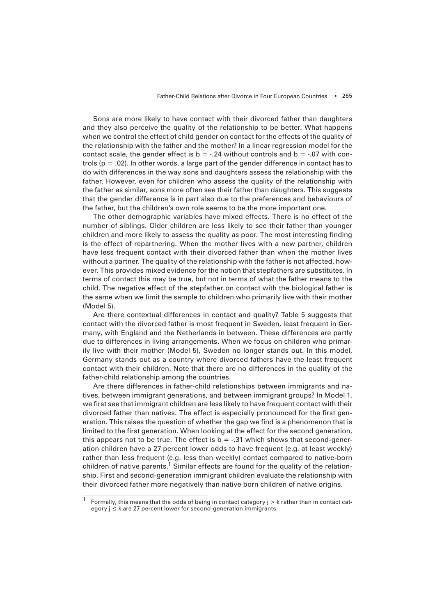Sons are more likely to have contact with their divorced father than daughters and they also perceive the quality of the relationship to be better. What happens when we control the effect of child gender on contact for the effects of the quality of the relationship with the father and the mother? In a linear regression model for the contact scale, the gender effect is  $b = -0.24$  without controls and  $b = -0.07$  with controls ( $p = .02$ ). In other words, a large part of the gender difference in contact has to do with differences in the way sons and daughters assess the relationship with the father. However, even for children who assess the quality of the relationship with the father as similar, sons more often see their father than daughters. This suggests that the gender difference is in part also due to the preferences and behaviours of the father, but the children's own role seems to be the more important one.

The other demographic variables have mixed effects. There is no effect of the number of siblings. Older children are less likely to see their father than younger children and more likely to assess the quality as poor. The most interesting finding is the effect of repartnering. When the mother lives with a new partner, children have less frequent contact with their divorced father than when the mother lives without a partner. The quality of the relationship with the father is not affected, however. This provides mixed evidence for the notion that stepfathers are substitutes. In terms of contact this may be true, but not in terms of what the father means to the child. The negative effect of the stepfather on contact with the biological father is the same when we limit the sample to children who primarily live with their mother (Model 5).

Are there contextual differences in contact and quality? Table 5 suggests that contact with the divorced father is most frequent in Sweden, least frequent in Germany, with England and the Netherlands in between. These differences are partly due to differences in living arrangements. When we focus on children who primarily live with their mother (Model 5), Sweden no longer stands out. In this model, Germany stands out as a country where divorced fathers have the least frequent contact with their children. Note that there are no differences in the quality of the father-child relationship among the countries.

Are there differences in father-child relationships between immigrants and natives, between immigrant generations, and between immigrant groups? In Model 1, we first see that immigrant children are less likely to have frequent contact with their divorced father than natives. The effect is especially pronounced for the first generation. This raises the question of whether the gap we find is a phenomenon that is limited to the first generation. When looking at the effect for the second generation, this appears not to be true. The effect is  $b = -0.31$  which shows that second-generation children have a 27 percent lower odds to have frequent (e.g. at least weekly) rather than less frequent (e.g. less than weekly) contact compared to native-born children of native parents.<sup>1</sup> Similar effects are found for the quality of the relationship. First and second-generation immigrant children evaluate the relationship with their divorced father more negatively than native born children of native origins.

Formally, this means that the odds of being in contact category j > k rather than in contact category  $i \leq k$  are 27 percent lower for second-generation immigrants.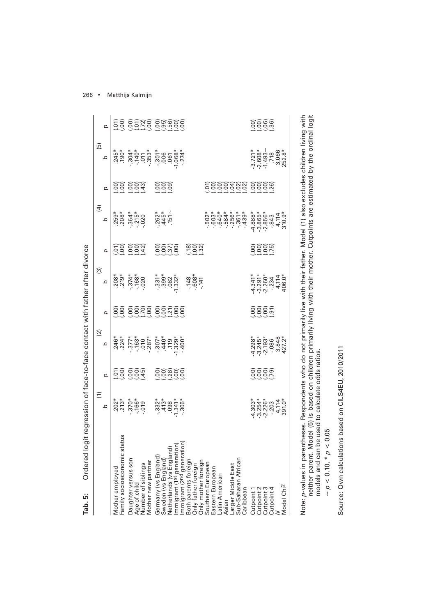| Ordered logit regression of face-to-face contact with father after divorce<br>Tab. 5:                                                                                                                                                                                    |                                                                                                                                                                            |                  |                                                |                                    |                                                                                                                                                                                                       |                     |                                                                                                                                                                                                                                                                                       |                              |                                                                                                                                 |               |
|--------------------------------------------------------------------------------------------------------------------------------------------------------------------------------------------------------------------------------------------------------------------------|----------------------------------------------------------------------------------------------------------------------------------------------------------------------------|------------------|------------------------------------------------|------------------------------------|-------------------------------------------------------------------------------------------------------------------------------------------------------------------------------------------------------|---------------------|---------------------------------------------------------------------------------------------------------------------------------------------------------------------------------------------------------------------------------------------------------------------------------------|------------------------------|---------------------------------------------------------------------------------------------------------------------------------|---------------|
|                                                                                                                                                                                                                                                                          | $\widehat{\Xi}$                                                                                                                                                            |                  | $\widehat{\Omega}$                             |                                    | ල)                                                                                                                                                                                                    |                     | <u>(म</u>                                                                                                                                                                                                                                                                             |                              | (5)                                                                                                                             |               |
|                                                                                                                                                                                                                                                                          | $\Omega$                                                                                                                                                                   | Q                | $\Omega$                                       | Q                                  | $\Omega$                                                                                                                                                                                              | Q                   | $\Omega$                                                                                                                                                                                                                                                                              | $\Omega$                     | ᅀ                                                                                                                               |               |
| SN<br>Mother employed<br>Family socioeconomic stat                                                                                                                                                                                                                       |                                                                                                                                                                            |                  |                                                |                                    |                                                                                                                                                                                                       |                     |                                                                                                                                                                                                                                                                                       |                              |                                                                                                                                 |               |
| Daughter versus son<br>Age of child<br>Mother new partner<br>Number of siblings                                                                                                                                                                                          |                                                                                                                                                                            | 56 666<br>56 664 |                                                |                                    |                                                                                                                                                                                                       | <u> ၁၉ ခုခွဲခွဲ</u> | *******<br>88 *****<br>88 ********                                                                                                                                                                                                                                                    | 66 666<br>00 664<br>00 00 00 |                                                                                                                                 |               |
| Germany (vs England)<br>Sweden (vs England)<br>Netherlands (vs England)<br>Immigrant (1 <sup>st</sup> generation)<br>Immigrant (2 <sup>nd</sup> generation)<br>Both parents foreign<br>Ohly mother foreign<br>Couthern European<br>Southern European<br>Eastern European |                                                                                                                                                                            |                  |                                                | 66 6666 66766<br>00 00 00 00 00 00 | <b>8 - 1</b><br>2020 - 1080 - 1080<br>2020 - 1080 - 1080<br>2021 - 1080 - 1080 - 1080 - 1080 - 1080 - 1080 - 1080 - 1080 - 1080 - 1080 - 1080 - 1080 - 1080 - 1080 - 1080<br>$148$<br>$608*$<br>$148$ | <u>မိခြွက်</u>      | $.262*$<br>$445*$<br>$151-$                                                                                                                                                                                                                                                           | 888                          | $245^*$<br>$-305^*$<br>$-305^*$<br>$-305^*$<br>$-305^*$<br>$-305^*$<br>$-305^*$<br>$-305^*$<br>$-305^*$<br>$-305^*$<br>$-305^*$ | ES SEÑS SARSS |
| Larger Middle East<br>Sub-Saharan African<br>Caribbean<br>Asian                                                                                                                                                                                                          |                                                                                                                                                                            |                  |                                                |                                    |                                                                                                                                                                                                       |                     | $\begin{array}{l} 0.877674 \\ 0.0004040 \\ 0.000400 \\ 0.000400 \\ 0.00000 \\ 0.00000 \\ 0.00000 \\ 0.00000 \\ 0.00000 \\ 0.00000 \\ 0.00000 \\ 0.00000 \\ 0.00000 \\ 0.00000 \\ 0.00000 \\ 0.00000 \\ 0.00000 \\ 0.00000 \\ 0.00000 \\ 0.00000 \\ 0.00000 \\ 0.00000 \\ 0.00000 \\ $ | 5666688 6666<br>566668 6668  |                                                                                                                                 |               |
| Model Chi <sup>2</sup><br>Cutpoint 1<br>Cutpoint 2<br>Cutpoint 4<br>Cutpoint 4                                                                                                                                                                                           | $\begin{array}{l} 4.303\overset{*}{\phantom{}_{\sim}}\phantom{}3.234\overset{*}{\phantom{}_{\sim}}\phantom{}4.303\overset{*}{\phantom{}_{\sim}}\phantom{}4.303\end{array}$ | 6666<br>0000     | 4.298*<br>2.245*<br>3.240<br>4.27.2*<br>427.2* | 8885<br>888                        | $4.341*\n3.290*\n4.714*\n4.714*\n4.714*\n4.706*\n4.714*\n4.706*\n4.714*\n4.714*\n4.714*\n4.714*\n4.714*\n4.714*\n4.714*\n4.714*\n4.714*\n4.714*\n4.714*\n4.714*\n4.714*\n4.714*\n$                    |                     |                                                                                                                                                                                                                                                                                       |                              | $-3.721$<br>$-2.608$<br>$-1.493$<br>$-7.766$<br>$-7.766$<br>$-3.066$<br>$-2.52.8$                                               |               |
|                                                                                                                                                                                                                                                                          |                                                                                                                                                                            |                  |                                                |                                    |                                                                                                                                                                                                       |                     |                                                                                                                                                                                                                                                                                       |                              |                                                                                                                                 |               |

Note: *p*-values in parentheses. Respondents who do not primarily live with their father. Model (1) also excludes children living with<br>neither parent. Model (5) is based on children primarily living with their mother. Cutp Note: *p*-values in parentheses. Respondents who do not primarily live with their father. Model (1) also excludes children living with neither parent. Model (5) is based on children primarily living with their mother. Cutpoints are estimated by the ordinal logit models and can be used to calculate odds ratios.

 $\sim p < 0.10, *p < 0.05$  $-\rho < 0.10, ^{*} \rho < 0.05$  Source: Own calculations based on CILS4EU, 2010/2011 Source: Own calculations based on CILS4EU, 2010/2011

266 • Matthijs Kalmijn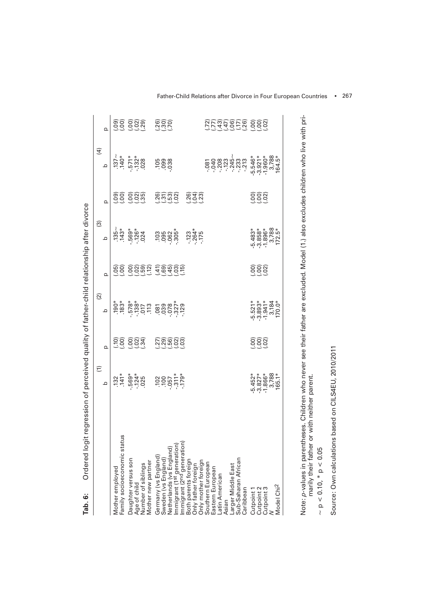|                                                                                                                                                                                                                               | $\widehat{E}$                                                                                                                                         |                         | $\widetilde{c}$                                                     |                                                 | $\widehat{\mathcal{C}}$                                      |                             | $\widehat{4}$                                                                                                                                                                                                                                                                                                 |                        |
|-------------------------------------------------------------------------------------------------------------------------------------------------------------------------------------------------------------------------------|-------------------------------------------------------------------------------------------------------------------------------------------------------|-------------------------|---------------------------------------------------------------------|-------------------------------------------------|--------------------------------------------------------------|-----------------------------|---------------------------------------------------------------------------------------------------------------------------------------------------------------------------------------------------------------------------------------------------------------------------------------------------------------|------------------------|
|                                                                                                                                                                                                                               | ᅌ                                                                                                                                                     | $\Omega$                | ᅌ                                                                   | $\Omega$                                        | ٩                                                            | $\Omega$                    | $\Omega$                                                                                                                                                                                                                                                                                                      | $\Omega$               |
| Mother employed                                                                                                                                                                                                               |                                                                                                                                                       | <u>58 894</u><br>28 894 |                                                                     |                                                 |                                                              | ີລິວິ ວິລິທີ<br>ອິວິ ວິວິທີ | $75 + 10$<br>$77 + 10$<br>$77 + 10$<br>$77 + 10$<br>$77 + 10$                                                                                                                                                                                                                                                 |                        |
| Family socioeconomic status                                                                                                                                                                                                   |                                                                                                                                                       |                         |                                                                     |                                                 |                                                              |                             |                                                                                                                                                                                                                                                                                                               |                        |
| Daughter versus son                                                                                                                                                                                                           |                                                                                                                                                       |                         |                                                                     |                                                 |                                                              |                             |                                                                                                                                                                                                                                                                                                               |                        |
|                                                                                                                                                                                                                               |                                                                                                                                                       |                         |                                                                     |                                                 |                                                              |                             |                                                                                                                                                                                                                                                                                                               |                        |
| Age of child<br>Number of siblings<br>Mother new partner                                                                                                                                                                      | $732 + 141 + 163 + 164$<br>$741 + 163 + 164$<br>$741 + 164$<br>$741 + 164$<br>$741 + 164$<br>$741 + 164$<br>$741 + 164$<br>$741 + 164$<br>$741 + 164$ |                         |                                                                     | ଜିଚି ଚିତ୍ରଳି କୁଇନିଚିତ୍ର<br>ବିଚିତ୍ରଳି କୁଇନିଚିତ୍ର |                                                              |                             |                                                                                                                                                                                                                                                                                                               |                        |
|                                                                                                                                                                                                                               |                                                                                                                                                       |                         |                                                                     |                                                 |                                                              |                             | 0.008                                                                                                                                                                                                                                                                                                         |                        |
|                                                                                                                                                                                                                               |                                                                                                                                                       |                         |                                                                     |                                                 |                                                              | ສີສິສລິ                     |                                                                                                                                                                                                                                                                                                               |                        |
|                                                                                                                                                                                                                               |                                                                                                                                                       |                         |                                                                     |                                                 |                                                              |                             |                                                                                                                                                                                                                                                                                                               |                        |
|                                                                                                                                                                                                                               |                                                                                                                                                       | ນັ້ນຮ້ອຍ                |                                                                     |                                                 |                                                              |                             |                                                                                                                                                                                                                                                                                                               |                        |
|                                                                                                                                                                                                                               |                                                                                                                                                       |                         |                                                                     |                                                 |                                                              |                             |                                                                                                                                                                                                                                                                                                               |                        |
| Germany (vs England)<br>Sweden (vs England)<br>Netherlands (vs England)<br>Immigrant (1st generation)<br>Immigrant (2st generation)<br>Both father foreign<br>Only mother foreign<br>Only mother foreign<br>Southern European |                                                                                                                                                       |                         |                                                                     |                                                 |                                                              | <u>ର୍ସ୍କି</u><br>ବିଧି       |                                                                                                                                                                                                                                                                                                               |                        |
|                                                                                                                                                                                                                               |                                                                                                                                                       |                         |                                                                     |                                                 |                                                              |                             |                                                                                                                                                                                                                                                                                                               |                        |
| Eastern European                                                                                                                                                                                                              |                                                                                                                                                       |                         |                                                                     |                                                 |                                                              |                             |                                                                                                                                                                                                                                                                                                               |                        |
| Latin American                                                                                                                                                                                                                |                                                                                                                                                       |                         |                                                                     |                                                 |                                                              |                             |                                                                                                                                                                                                                                                                                                               |                        |
| Asian                                                                                                                                                                                                                         |                                                                                                                                                       |                         |                                                                     |                                                 |                                                              |                             |                                                                                                                                                                                                                                                                                                               |                        |
| Larger Middle East<br>Sub-Saharan African                                                                                                                                                                                     |                                                                                                                                                       |                         |                                                                     |                                                 |                                                              |                             |                                                                                                                                                                                                                                                                                                               |                        |
| Caribbean                                                                                                                                                                                                                     |                                                                                                                                                       |                         |                                                                     |                                                 |                                                              |                             | $\begin{array}{l} 0.01 \\ 0.04 \\ 0.07 \\ 0.07 \\ 0.07 \\ 0.07 \\ 0.07 \\ 0.07 \\ 0.07 \\ 0.07 \\ 0.07 \\ 0.07 \\ 0.07 \\ 0.07 \\ 0.07 \\ 0.07 \\ 0.07 \\ 0.07 \\ 0.07 \\ 0.07 \\ 0.07 \\ 0.07 \\ 0.07 \\ 0.07 \\ 0.07 \\ 0.07 \\ 0.07 \\ 0.07 \\ 0.07 \\ 0.07 \\ 0.07 \\ 0.07 \\ 0.07 \\ 0.07 \\ 0.07 \\ 0.$ | <u> ชีวิตวัตว์ 888</u> |
|                                                                                                                                                                                                                               |                                                                                                                                                       |                         |                                                                     |                                                 |                                                              |                             |                                                                                                                                                                                                                                                                                                               |                        |
| Cutpoint 2<br>Cutpoint 1                                                                                                                                                                                                      | $-5.452$<br>$-3.827$<br>$-1.866$<br>$-3.788$<br>$-1.65.1$                                                                                             | 888<br>289              | $-5.521$<br>$-3.893$<br>$-1.941$<br>$-3.184$<br>$-1.941$<br>$-1.06$ | 888<br>989                                      | $-5.483*$<br>$-3.896*$<br>$-1.788*$<br>$-1.788*$<br>$-1.72*$ | 888<br>289                  |                                                                                                                                                                                                                                                                                                               |                        |
|                                                                                                                                                                                                                               |                                                                                                                                                       |                         |                                                                     |                                                 |                                                              |                             |                                                                                                                                                                                                                                                                                                               |                        |
| Cutpoint 3<br>N                                                                                                                                                                                                               |                                                                                                                                                       |                         |                                                                     |                                                 |                                                              |                             |                                                                                                                                                                                                                                                                                                               |                        |
| Model Chi <sup>2</sup>                                                                                                                                                                                                        |                                                                                                                                                       |                         |                                                                     |                                                 |                                                              |                             |                                                                                                                                                                                                                                                                                                               |                        |
|                                                                                                                                                                                                                               |                                                                                                                                                       |                         |                                                                     |                                                 |                                                              |                             |                                                                                                                                                                                                                                                                                                               |                        |
|                                                                                                                                                                                                                               |                                                                                                                                                       |                         |                                                                     |                                                 |                                                              |                             |                                                                                                                                                                                                                                                                                                               |                        |

Ordered logit regression of perceived quality of father-child relationship after divorce **Tab. 6:** Ordered logit regression of perceived quality of father-child relationship after divorce Tab. 6:

Note: *p-*values in parentheses. Children who never see their father are excluded. Model (1.) also excludes children who live with pri-<br>marily their father or with neither parent. *p*-values in parentheses. Children who never see their father are excluded. Model (1.) also excludes children who live with primarily their father or with neither parent.

 $\sim p < 0.10, \, {}^*p < 0.05$  $~\sim$  p  $<$  0.10,  $^{*}$  p  $<$  0.05 Source: Own calculations based on CILS4EU, 2010/2011 Source: Own calculations based on CILS4EU, 2010/2011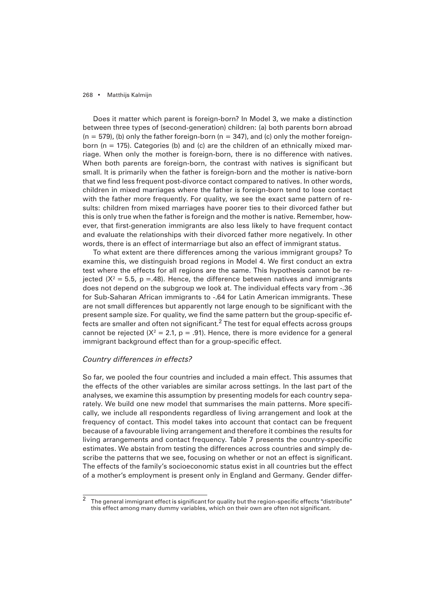Does it matter which parent is foreign-born? In Model 3, we make a distinction between three types of (second-generation) children: (a) both parents born abroad  $(n = 579)$ , (b) only the father foreign-born  $(n = 347)$ , and (c) only the mother foreignborn ( $n = 175$ ). Categories (b) and (c) are the children of an ethnically mixed marriage. When only the mother is foreign-born, there is no difference with natives. When both parents are foreign-born, the contrast with natives is significant but small. It is primarily when the father is foreign-born and the mother is native-born that we find less frequent post-divorce contact compared to natives. In other words, children in mixed marriages where the father is foreign-born tend to lose contact with the father more frequently. For quality, we see the exact same pattern of results: children from mixed marriages have poorer ties to their divorced father but this is only true when the father is foreign and the mother is native. Remember, however, that first-generation immigrants are also less likely to have frequent contact and evaluate the relationships with their divorced father more negatively. In other words, there is an effect of intermarriage but also an effect of immigrant status.

To what extent are there differences among the various immigrant groups? To examine this, we distinguish broad regions in Model 4. We first conduct an extra test where the effects for all regions are the same. This hypothesis cannot be rejected ( $X^2 = 5.5$ , p = 48). Hence, the difference between natives and immigrants does not depend on the subgroup we look at. The individual effects vary from -.36 for Sub-Saharan African immigrants to -.64 for Latin American immigrants. These are not small differences but apparently not large enough to be significant with the present sample size. For quality, we find the same pattern but the group-specific effects are smaller and often not significant. $^2$  The test for equal effects across groups cannot be rejected ( $X^2 = 2.1$ , p = .91). Hence, there is more evidence for a general immigrant background effect than for a group-specific effect.

# *Country differences in effects?*

So far, we pooled the four countries and included a main effect. This assumes that the effects of the other variables are similar across settings. In the last part of the analyses, we examine this assumption by presenting models for each country separately. We build one new model that summarises the main patterns. More specifically, we include all respondents regardless of living arrangement and look at the frequency of contact. This model takes into account that contact can be frequent because of a favourable living arrangement and therefore it combines the results for living arrangements and contact frequency. Table 7 presents the country-specific estimates. We abstain from testing the differences across countries and simply describe the patterns that we see, focusing on whether or not an effect is significant. The effects of the family's socioeconomic status exist in all countries but the effect of a mother's employment is present only in England and Germany. Gender differ-

 $\overline{\text{2}}$  The general immigrant effect is significant for quality but the region-specific effects "distribute" this effect among many dummy variables, which on their own are often not significant.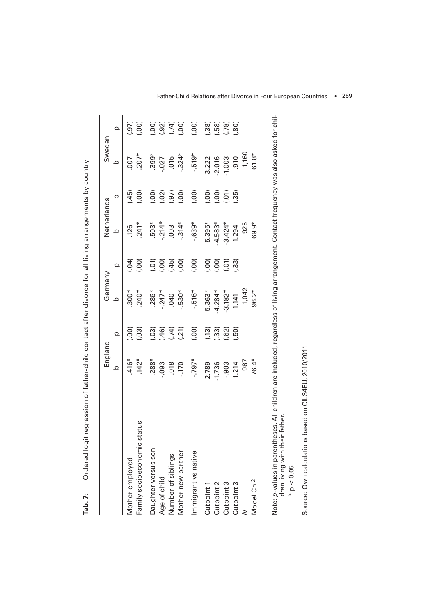|                                | England                              |                                  | Germany                     |                                                         | Netherlands         |      | Sweden                                                                    |                 |
|--------------------------------|--------------------------------------|----------------------------------|-----------------------------|---------------------------------------------------------|---------------------|------|---------------------------------------------------------------------------|-----------------|
|                                | $\Omega$                             | $\Omega$                         | $\Omega$                    | $\Omega$                                                | $\circ$             |      | $\Omega$                                                                  | $\Omega$        |
| Mother employed                | $.416*$                              |                                  | $300*$                      |                                                         |                     | (45) | 007                                                                       |                 |
| status<br>Family socioeconomic | $.142*$                              | (000)                            | $240*$                      | $rac{1}{4}$                                             | $.126$<br>$.241*$   | (00) | $.207*$                                                                   | $\overline{97}$ |
| Daughter versus son            | $-288*$                              |                                  | $.286*$                     |                                                         | $503*$              |      | $.399*$                                                                   |                 |
| Age of child                   | $-0.093$                             |                                  | $-247*$                     |                                                         | $-214*$             |      |                                                                           |                 |
| Number of siblings             |                                      |                                  | .040                        |                                                         |                     |      |                                                                           |                 |
| Mother new partner             | $-0.170$                             | $(1, 2)$<br>$(1, 2)$<br>$(1, 2)$ | $-0.530*$                   | (000, 45)                                               | $-314*$             |      | $-027$<br>$-015$<br>$-324*$                                               | (000, 000, 000) |
| Immigrant vs native            | $*$ <i>L</i> 6 <i>L</i> <sup>-</sup> | (.00)                            | $-516*$                     | (.00)                                                   | $-639*$             | (00) | $-519*$                                                                   |                 |
| Cutpoint 1                     |                                      |                                  |                             |                                                         |                     |      | $-3.222$<br>$-2.016$<br>$-1.003$<br>$-1.60$<br>$-1.60$<br>$-1.8$<br>61.8* |                 |
| Cutpoint 2                     | 2.789<br>1.736<br>1.214              | <u>( 13)</u><br>( 33)<br>( 32)   | 5.363*<br>4.284*<br>-3.182* | $\begin{pmatrix} 0 & 0 \\ 0 & 0 \\ 0 & 0 \end{pmatrix}$ | $-5.395*$<br>4.583* |      |                                                                           |                 |
| Cutpoint 3                     |                                      |                                  |                             | $\begin{bmatrix} .51 \\ .33 \end{bmatrix}$              | $-3.424*$           |      |                                                                           |                 |
| Cutpoint 3                     |                                      |                                  | $-1.141$                    |                                                         | 1.294               |      |                                                                           |                 |
|                                | 987                                  |                                  | 1,042                       |                                                         | 925                 |      |                                                                           |                 |
| Model Chi <sup>2</sup>         | 76.4*                                |                                  | 96.2*                       |                                                         | 69.9*               |      |                                                                           |                 |

Ordered logit regression of father-child contact after divorce for all living arrangements by country **Tab. 7:** Ordered logit regression of father-child contact after divorce for all living arrangements by country Tab. 7: Note: *p-*values in parentheses. All children are included, regardless of living arrangement. Contact frequency was also asked for chil-<br>dren living with their father. *p*-values in parentheses. All children are included, regardless of living arrangement. Contact frequency was also asked for children living with their father.

 $*{\rm p}<0.05$  $*$  p  $< 0.05$  Source: Own calculations based on CILS4EU, 2010/2011 Source: Own calculations based on CILS4EU, 2010/2011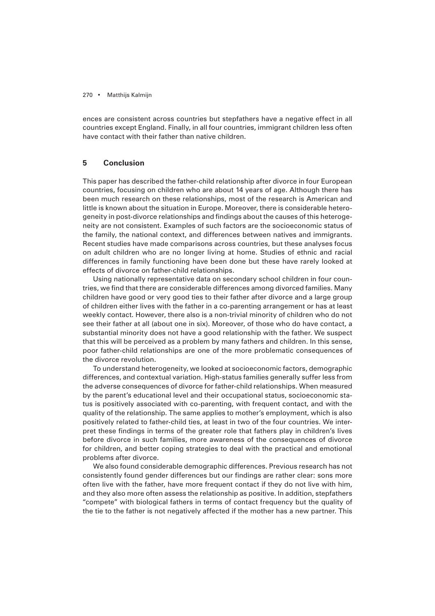ences are consistent across countries but stepfathers have a negative effect in all countries except England. Finally, in all four countries, immigrant children less often have contact with their father than native children.

# **5 Conclusion**

This paper has described the father-child relationship after divorce in four European countries, focusing on children who are about 14 years of age. Although there has been much research on these relationships, most of the research is American and little is known about the situation in Europe. Moreover, there is considerable heterogeneity in post-divorce relationships and findings about the causes of this heterogeneity are not consistent. Examples of such factors are the socioeconomic status of the family, the national context, and differences between natives and immigrants. Recent studies have made comparisons across countries, but these analyses focus on adult children who are no longer living at home. Studies of ethnic and racial differences in family functioning have been done but these have rarely looked at effects of divorce on father-child relationships.

Using nationally representative data on secondary school children in four countries, we find that there are considerable differences among divorced families. Many children have good or very good ties to their father after divorce and a large group of children either lives with the father in a co-parenting arrangement or has at least weekly contact. However, there also is a non-trivial minority of children who do not see their father at all (about one in six). Moreover, of those who do have contact, a substantial minority does not have a good relationship with the father. We suspect that this will be perceived as a problem by many fathers and children. In this sense, poor father-child relationships are one of the more problematic consequences of the divorce revolution.

To understand heterogeneity, we looked at socioeconomic factors, demographic differences, and contextual variation. High-status families generally suffer less from the adverse consequences of divorce for father-child relationships. When measured by the parent's educational level and their occupational status, socioeconomic status is positively associated with co-parenting, with frequent contact, and with the quality of the relationship. The same applies to mother's employment, which is also positively related to father-child ties, at least in two of the four countries. We interpret these findings in terms of the greater role that fathers play in children's lives before divorce in such families, more awareness of the consequences of divorce for children, and better coping strategies to deal with the practical and emotional problems after divorce.

We also found considerable demographic differences. Previous research has not consistently found gender differences but our findings are rather clear: sons more often live with the father, have more frequent contact if they do not live with him, and they also more often assess the relationship as positive. In addition, stepfathers "compete" with biological fathers in terms of contact frequency but the quality of the tie to the father is not negatively affected if the mother has a new partner. This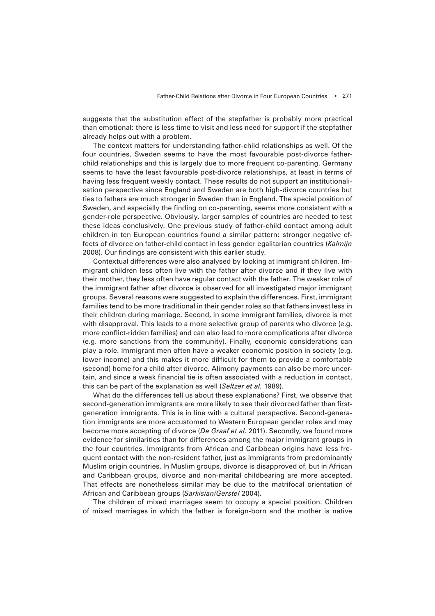suggests that the substitution effect of the stepfather is probably more practical than emotional: there is less time to visit and less need for support if the stepfather already helps out with a problem.

The context matters for understanding father-child relationships as well. Of the four countries, Sweden seems to have the most favourable post-divorce fatherchild relationships and this is largely due to more frequent co-parenting. Germany seems to have the least favourable post-divorce relationships, at least in terms of having less frequent weekly contact. These results do not support an institutionalisation perspective since England and Sweden are both high-divorce countries but ties to fathers are much stronger in Sweden than in England. The special position of Sweden, and especially the finding on co-parenting, seems more consistent with a gender-role perspective. Obviously, larger samples of countries are needed to test these ideas conclusively. One previous study of father-child contact among adult children in ten European countries found a similar pattern: stronger negative effects of divorce on father-child contact in less gender egalitarian countries (*Kalmijn* 2008). Our findings are consistent with this earlier study.

Contextual differences were also analysed by looking at immigrant children. Immigrant children less often livewith the father after divorce and if they live with their mother, they less often have regular contact with the father. The weaker role of the immigrant father after divorce is observed for all investigated major immigrant groups. Several reasons were suggested to explain the differences. First, immigrant families tend to be more traditional in their gender roles so that fathers invest less in their children during marriage. Second, in some immigrant families, divorce is met with disapproval. This leads to a more selective group of parents who divorce (e.g. more conflict-ridden families) and can also lead to more complications after divorce (e.g. more sanctions from the community). Finally, economic considerations can play a role. Immigrant men often have a weaker economic position in society (e.g. lower income) and this makes it more difficult for them to provide a comfortable (second) home for a child after divorce. Alimony payments can also be more uncertain, and since a weak financial tie is often associated with a reduction in contact, this can be part of the explanation as well (*Seltzer et al.* 1989).

What do the differences tell us about these explanations? First, we observe that second-generation immigrants are more likely to see their divorced father than firstgeneration immigrants. This is in line with a cultural perspective. Second-generation immigrants are more accustomed to Western European gender roles and may become more accepting of divorce (*De Graaf et al.* 2011). Secondly, we found more evidence for similarities than for differences among the major immigrant groups in the four countries. Immigrants from African and Caribbean origins have less frequent contact with the non-resident father, just as immigrants from predominantly Muslim origin countries. In Muslim groups, divorce is disapproved of, but in African and Caribbean groups, divorce and non-marital childbearing are more accepted. That effects are nonetheless similar may be due to the matrifocal orientation of African and Caribbean groups (*Sarkisian/Gerstel* 2004).

The children of mixed marriages seem to occupy a special position. Children of mixed marriages in which the father is foreign-born and the mother is native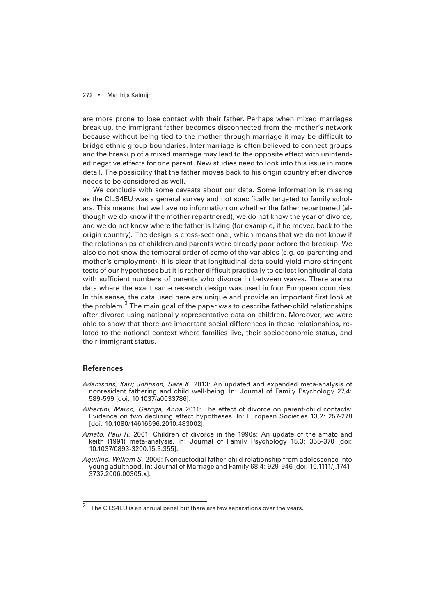are more prone to lose contact with their father. Perhaps when mixed marriages break up, the immigrant father becomes disconnected from the mother's network because without being tied to the mother through marriage it may be difficult to bridge ethnic group boundaries. Intermarriage is often believed to connect groups and the breakup of a mixed marriage may lead to the opposite effect with unintended negative effects for one parent. New studies need to look into this issue in more detail. The possibility that the father moves back to his origin country after divorce needs to be considered as well.

We conclude with some caveats about our data. Some information is missing as the CILS4EU was a general survey and not specifically targeted to family scholars. This means that we have no information on whether the father repartnered (although we do know if the mother repartnered), we do not know the year of divorce, and we do not know where the father is living (for example, if he moved back to the origin country). The design is cross-sectional, which means that we do not know if the relationships of children and parents were already poor before the breakup. We also do not know the temporal order of some of the variables (e.g. co-parenting and mother's employment). It is clear that longitudinal data could yield more stringent tests of our hypotheses but it is rather difficult practically to collect longitudinal data with sufficient numbers of parents who divorce in between waves. There are no data where the exact same research design was used in four European countries. In this sense, the data used here are unique and provide an important first look at the problem.<sup>3</sup> The main goal of the paper was to describe father-child relationships after divorce using nationally representative data on children. Moreover, we were able to show that there are important social differences in these relationships, related to the national context where families live, their socioeconomic status, and their immigrant status.

# **References**

- *Adamsons, Kari; Johnson, Sara K.* 2013: An updated and expanded meta-analysis of nonresident fathering and child well-being. In: Journal of Family Psychology 27,4: 589-599 [doi: 10.1037/a0033786].
- *Albertini, Marco; Garriga, Anna* 2011: The effect of divorce on parent-child contacts: Evidence on two declining effect hypotheses. In: European Societies 13,2: 257-278 [doi: 10.1080/14616696.2010.483002].
- *Amato, Paul R.* 2001: Children of divorce in the 1990s: An update of the amato and keith (1991) meta-analysis. In: Journal of Family Psychology 15,3: 355-370 [doi: 10.1037/0893-3200.15.3.355].
- *Aquilino, William S.* 2006: Noncustodial father-child relationship from adolescence into young adulthood. In: Journal of Marriage and Family 68,4: 929-946 [doi: 10.1111/j.1741- 3737.2006.00305.x].

 $\overline{\text{3}}$  The CILS4EU is an annual panel but there are few separations over the years.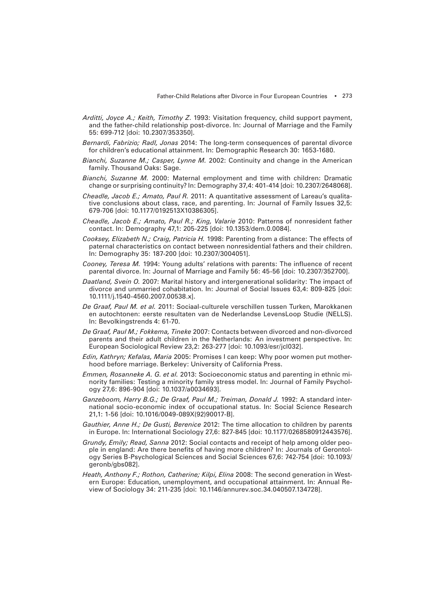- *Arditti, Joyce A.; Keith, Timothy Z*. 1993: Visitation frequency, child support payment, and the father-child relationship post-divorce. In: Journal of Marriage and the Family 55: 699-712 [doi: 10.2307/353350].
- *Bernardi, Fabrizio; Radl, Jonas* 2014: The long-term consequences of parental divorce for children's educational attainment. In: Demographic Research 30: 1653-1680.
- *Bianchi, Suzanne M.; Casper, Lynne M.* 2002: Continuity and change in the American family. Thousand Oaks: Sage.
- *Bianchi, Suzanne M.* 2000: Maternal employment and time with children: Dramatic change or surprising continuity? In: Demography 37,4: 401-414 [doi: 10.2307/2648068].
- *Cheadle, Jacob E.; Amato, Paul R.* 2011: A quantitative assessment of Lareau's qualitative conclusions about class, race, and parenting. In: Journal of Family Issues 32,5: 679-706 [doi: 10.1177/0192513X10386305].
- *Cheadle, Jacob E.; Amato, Paul R.; King, Valarie* 2010: Patterns of nonresident father contact. In: Demography 47,1: 205-225 [doi: 10.1353/dem.0.0084].
- *Cooksey, Elizabeth N.; Craig, Patricia H.* 1998: Parenting from a distance: The effects of paternal characteristics on contact between nonresidential fathers and their children. In: Demography 35: 187-200 [doi: 10.2307/3004051].
- *Cooney, Teresa M.* 1994: Young adults' relations with parents: The influence of recent parental divorce. In: Journal of Marriage and Family 56: 45-56 [doi: 10.2307/352700].
- *Daatland, Svein O.* 2007: Marital history and intergenerational solidarity: The impact of divorce and unmarried cohabitation. In: Journal of Social Issues 63,4: 809-825 [doi: 10.1111/j.1540-4560.2007.00538.x].
- *De Graaf, Paul M. et al.* 2011: Sociaal-culturele verschillen tussen Turken, Marokkanen en autochtonen: eerste resultaten van de Nederlandse LevensLoop Studie (NELLS). In: Bevolkingstrends 4: 61-70.
- *De Graaf, Paul M.; Fokkema, Tineke* 2007: Contacts between divorced and non-divorced parents and their adult children in the Netherlands: An investment perspective. In: European Sociological Review 23,2: 263-277 [doi: 10.1093/esr/jcl032].
- *Edin, Kathryn; Kefalas, Maria* 2005: Promises I can keep: Why poor women put motherhood before marriage. Berkeley: University of California Press.
- *Emmen, Rosanneke A. G. et al.* 2013: Socioeconomic status and parenting in ethnic minority families: Testing a minority family stress model. In: Journal of Family Psychology 27,6: 896-904 [doi: 10.1037/a0034693].
- *Ganzeboom, Harry B.G.; De Graaf, Paul M.; Treiman, Donald J.* 1992: A standard international socio-economic index of occupational status. In: Social Science Research 21,1: 1-56 [doi: 10.1016/0049-089X(92)90017-B].
- *Gauthier, Anne H.; De Gusti, Berenice* 2012: The time allocation to children by parents in Europe. In: International Sociology 27,6: 827-845 [doi: 10.1177/0268580912443576].
- *Grundy, Emily; Read, Sanna* 2012: Social contacts and receipt of help among older people in england: Are there benefits of having more children? In: Journals of Gerontology Series B-Psychological Sciences and Social Sciences 67,6: 742-754 [doi: 10.1093/ geronb/gbs082].
- *Heath, Anthony F.; Rothon, Catherine; Kilpi, Elina* 2008: The second generation in Western Europe: Education, unemployment, and occupational attainment. In: Annual Review of Sociology 34: 211-235 [doi: 10.1146/annurev.soc.34.040507.134728].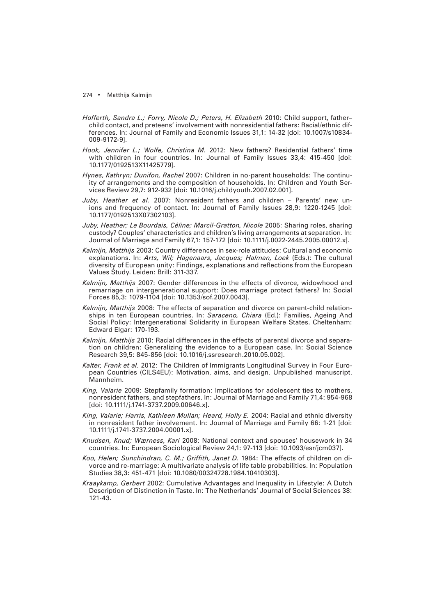- *Hofferth, Sandra L.; Forry, Nicole D.; Peters, H. Elizabeth* 2010: Child support, father– child contact, and preteens' involvement with nonresidential fathers: Racial/ethnic differences. In: Journal of Family and Economic Issues 31,1: 14-32 [doi: 10.1007/s10834- 009-9172-9].
- *Hook, Jennifer L.; Wolfe, Christina M.* 2012: New fathers? Residential fathers' time with children in four countries. In: Journal of Family Issues 33.4: 415-450 [doi: 10.1177/0192513X11425779].
- *Hynes, Kathryn; Dunifon, Rachel* 2007: Children in no-parent households: The continuity of arrangements and the composition of households. In: Children and Youth Services Review 29,7: 912-932 [doi: 10.1016/j.childyouth.2007.02.001].
- *Juby, Heather et al.* 2007: Nonresident fathers and children Parents' new unions and frequency of contact. In: Journal of Family Issues 28,9: 1220-1245 [doi: 10.1177/0192513X07302103].
- *Juby, Heather; Le Bourdais, Céline; Marcil-Gratton, Nicole* 2005: Sharing roles, sharing custody? Couples' characteristics and children's living arrangements at separation. In: Journal of Marriage and Family 67,1: 157-172 [doi: 10.1111/j.0022-2445.2005.00012.x].
- *Kalmijn, Matthijs* 2003: Country differences in sex-role attitudes: Cultural and economic explanations. In: *Arts, Wil; Hagenaars, Jacques; Halman, Loek* (Eds.): The cultural diversity of European unity: Findings, explanations and reflections from the European Values Study. Leiden: Brill: 311-337.
- *Kalmijn, Matthijs* 2007: Gender differences in the effects of divorce, widowhood and remarriage on intergenerational support: Does marriage protect fathers? In: Social Forces 85,3: 1079-1104 [doi: 10.1353/sof.2007.0043].
- *Kalmijn, Matthijs* 2008: The effects of separation and divorce on parent-child relationships in ten European countries. In: *Saraceno, Chiara* (Ed.): Families, Ageing And Social Policy: Intergenerational Solidarity in European Welfare States. Cheltenham: Edward Elgar: 170-193.
- *Kalmijn, Matthijs* 2010: Racial differences in the effects of parental divorce and separation on children: Generalizing the evidence to a European case. In: Social Science Research 39,5: 845-856 [doi: 10.1016/j.ssresearch.2010.05.002].
- *Kalter, Frank et al.* 2012: The Children of Immigrants Longitudinal Survey in Four European Countries (CILS4EU): Motivation, aims, and design. Unpublished manuscript. Mannheim.
- *King, Valarie* 2009: Stepfamily formation: Implications for adolescent ties to mothers, nonresident fathers, and stepfathers. In: Journal of Marriage and Family 71,4: 954-968 [doi: 10.1111/j.1741-3737.2009.00646.x].
- *King, Valarie; Harris, Kathleen Mullan; Heard, Holly E.* 2004: Racial and ethnic diversity in nonresident father involvement. In: Journal of Marriage and Family 66: 1-21 [doi: 10.1111/j.1741-3737.2004.00001.x].
- *Knudsen, Knud; Wærness, Kari* 2008: National context and spouses' housework in 34 countries. In: European Sociological Review 24,1: 97-113 [doi: 10.1093/esr/jcm037].
- Koo, Helen; Sunchindran, C. M.; Griffith, Janet D. 1984: The effects of children on divorce and re-marriage: A multivariate analysis of life table probabilities. In: Population Studies 38,3: 451-471 [doi: 10.1080/00324728.1984.10410303].
- *Kraaykamp, Gerbert* 2002: Cumulative Advantages and Inequality in Lifestyle: A Dutch Description of Distinction in Taste. In: The Netherlands' Journal of Social Sciences 38: 121-43.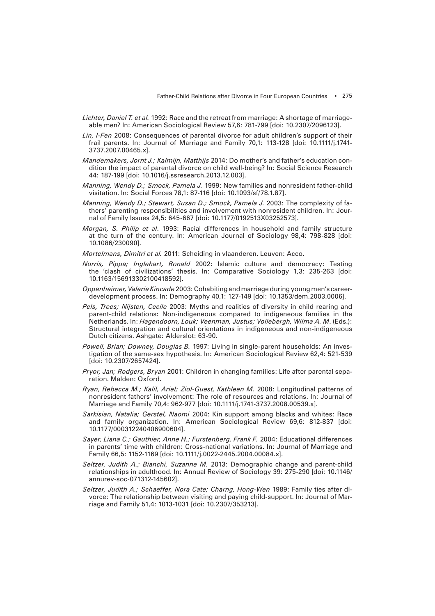- *Lichter, Daniel T. et al.* 1992: Race and the retreat from marriage: A shortage of marriageable men? In: American Sociological Review 57,6: 781-799 [doi: 10.2307/2096123].
- *Lin, I-Fen* 2008: Consequences of parental divorce for adult children's support of their frail parents. In: Journal of Marriage and Family 70,1: 113-128 [doi: 10.1111/j.1741- 3737.2007.00465.x].
- *Mandemakers, Jornt J.; Kalmijn, Matthijs* 2014: Do mother's and father's education condition the impact of parental divorce on child well-being? In: Social Science Research 44: 187-199 [doi: 10.1016/j.ssresearch.2013.12.003].
- *Manning, Wendy D.; Smock, Pamela J.* 1999: New families and nonresident father-child visitation. In: Social Forces 78,1: 87-116 [doi: 10.1093/sf/78.1.87].
- *Manning, Wendy D.; Stewart, Susan D.; Smock, Pamela J.* 2003: The complexity of fathers' parenting responsibilities and involvement with nonresident children. In: Journal of Family Issues 24,5: 645-667 [doi: 10.1177/0192513X03252573].
- *Morgan, S. Philip et al*. 1993: Racial differences in household and family structure at the turn of the century. In: American Journal of Sociology 98,4: 798-828 [doi: 10.1086/230090].
- *Mortelmans, Dimitri et al.* 2011: Scheiding in vlaanderen. Leuven: Acco.
- *Norris, Pippa; Inglehart, Ronald* 2002: Islamic culture and democracy: Testing the 'clash of civilizations' thesis. In: Comparative Sociology 1,3: 235-263 [doi: 10.1163/156913302100418592].
- *Oppenheimer, Valerie Kincade* 2003: Cohabiting and marriage during young men's careerdevelopment process. In: Demography 40,1: 127-149 [doi: 10.1353/dem.2003.0006].
- *Pels, Trees; Nijsten, Cecile* 2003: Myths and realities of diversity in child rearing and parent-child relations: Non-indigeneous compared to indigeneous families in the Netherlands. In: *Hagendoorn, Louk; Veenman, Justus; Vollebergh, Wilma A. M*. (Eds.): Structural integration and cultural orientations in indigeneous and non-indigeneous Dutch citizens. Ashgate: Alderslot: 63-90.
- *Powell, Brian; Downey, Douglas B.* 1997: Living in single-parent households: An investigation of the same-sex hypothesis. In: American Sociological Review 62,4: 521-539 [doi: 10.2307/2657424].
- *Pryor, Jan; Rodgers, Bryan* 2001: Children in changing families: Life after parental separation. Malden: Oxford.
- *Ryan, Rebecca M.; Kalil, Ariel; Ziol-Guest, Kathleen M.* 2008: Longitudinal patterns of nonresident fathers' involvement: The role of resources and relations. In: Journal of Marriage and Family 70,4: 962-977 [doi: 10.1111/j.1741-3737.2008.00539.x].
- *Sarkisian, Natalia; Gerstel, Naomi* 2004: Kin support among blacks and whites: Race and family organization. In: American Sociological Review 69,6: 812-837 [doi: 10.1177/000312240406900604].
- *Sayer, Liana C.; Gauthier, Anne H.; Furstenberg, Frank F.* 2004: Educational differences in parents' time with children: Cross-national variations. In: Journal of Marriage and Family 66,5: 1152-1169 [doi: 10.1111/j.0022-2445.2004.00084.x].
- *Seltzer, Judith A.; Bianchi, Suzanne M.* 2013: Demographic change and parent-child relationships in adulthood. In: Annual Review of Sociology 39: 275-290 [doi: 10.1146/ annurev-soc-071312-145602].
- *Seltzer, Judith A.; Schaeffer, Nora Cate; Charng, Hong-Wen* 1989: Family ties after divorce: The relationship between visiting and paying child-support. In: Journal of Marriage and Family 51,4: 1013-1031 [doi: 10.2307/353213].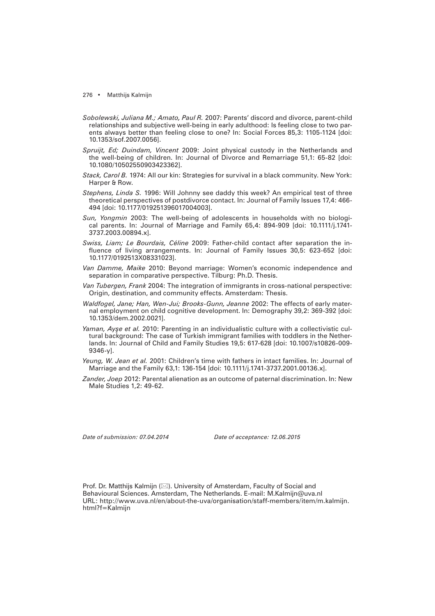- *Sobolewski, Juliana M.; Amato, Paul R.* 2007: Parents' discord and divorce, parent-child relationships and subjective well-being in early adulthood: Is feeling close to two parents always better than feeling close to one? In: Social Forces 85,3: 1105-1124 [doi: 10.1353/sof.2007.0056].
- *Spruijt, Ed; Duindam, Vincent* 2009: Joint physical custody in the Netherlands and the well-being of children. In: Journal of Divorce and Remarriage 51,1: 65-82 [doi: 10.1080/10502550903423362].
- *Stack, Carol B.* 1974: All our kin: Strategies for survival in a black community. New York: Harper & Row.
- *Stephens, Linda S.* 1996: Will Johnny see daddy this week? An empirical test of three theoretical perspectives of postdivorce contact. In: Journal of Family Issues 17,4: 466- 494 [doi: 10.1177/019251396017004003].
- *Sun, Yongmin* 2003: The well-being of adolescents in households with no biological parents. In: Journal of Marriage and Family 65,4: 894-909 [doi: 10.1111/j.1741- 3737.2003.00894.x].
- *Swiss, Liam; Le Bourdais, Céline* 2009: Father-child contact after separation the influence of living arrangements. In: Journal of Family Issues 30,5: 623-652 [doi: 10.1177/0192513X08331023].
- *Van Damme, Maike* 2010: Beyond marriage: Women's economic independence and separation in comparative perspective. Tilburg: Ph.D. Thesis.
- *Van Tubergen, Frank* 2004: The integration of immigrants in cross-national perspective: Origin, destination, and community effects. Amsterdam: Thesis.
- *Waldfogel, Jane; Han, Wen-Jui; Brooks-Gunn, Jeanne* 2002: The effects of early maternal employment on child cognitive development. In: Demography 39,2: 369-392 [doi: 10.1353/dem.2002.0021].
- *Yaman, Ayşe et al.* 2010: Parenting in an individualistic culture with a collectivistic cultural background: The case of Turkish immigrant families with toddlers in the Netherlands. In: Journal of Child and Family Studies 19,5: 617-628 [doi: 10.1007/s10826-009- 9346-y].
- *Yeung, W. Jean et al.* 2001: Children's time with fathers in intact families. In: Journal of Marriage and the Family 63,1: 136-154 [doi: 10.1111/j.1741-3737.2001.00136.x].
- *Zander, Joep* 2012: Parental alienation as an outcome of paternal discrimination. In: New Male Studies 1,2: 49-62.

*Date of submission: 07.04.2014 Date of acceptance: 12.06.2015*

Prof. Dr. Matthijs Kalmijn ( $\boxtimes$ ). University of Amsterdam, Faculty of Social and Behavioural Sciences. Amsterdam, The Netherlands. E-mail: M.Kalmijn@uva.nl URL: http://www.uva.nl/en/about-the-uva/organisation/staff-members/item/m.kalmijn. html?f=Kalmijn